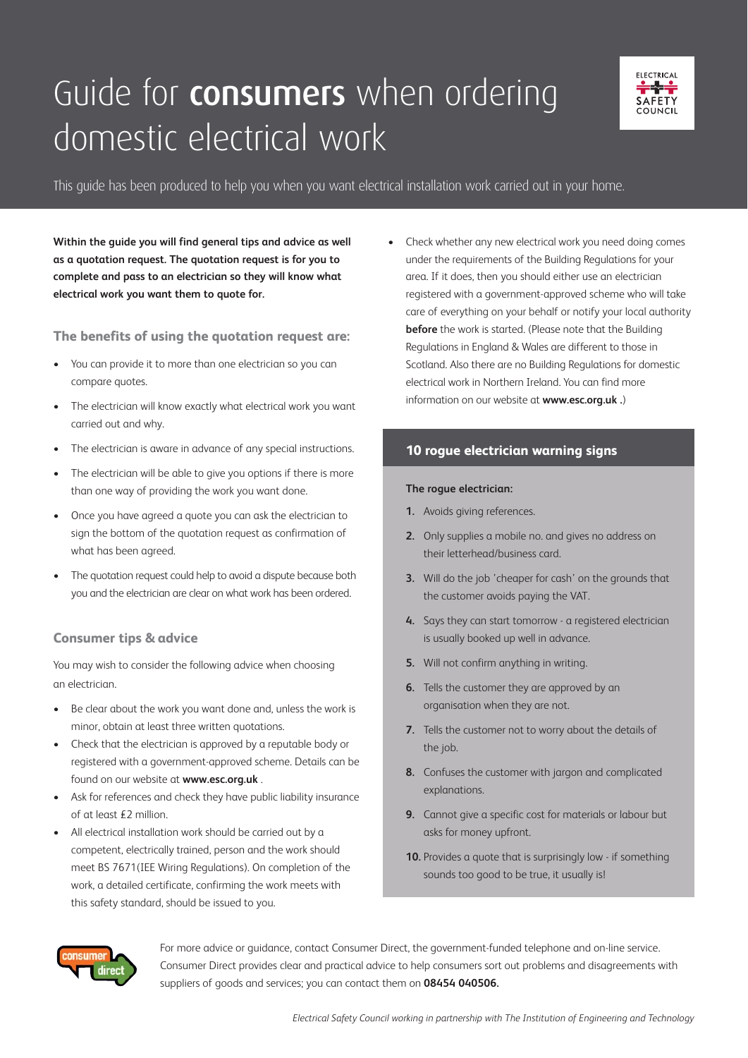## Guide for **consumers** when ordering domestic electrical work



#### This guide has been produced to help you when you want electrical installation work carried out in your home.

**Within the guide you will find general tips and advice as well as a quotation request. The quotation request is for you to complete and pass to an electrician so they will know what electrical work you want them to quote for.** 

**The benefits of using the quotation request are:**

- You can provide it to more than one electrician so you can compare quotes.
- The electrician will know exactly what electrical work you want carried out and why.
- The electrician is aware in advance of any special instructions.
- The electrician will be able to give you options if there is more than one way of providing the work you want done.
- Once you have agreed a quote you can ask the electrician to sign the bottom of the quotation request as confirmation of what has been agreed.
- The quotation request could help to avoid a dispute because both you and the electrician are clear on what work has been ordered.

#### **Consumer tips & advice**

You may wish to consider the following advice when choosing an electrician.

- Be clear about the work you want done and, unless the work is minor, obtain at least three written quotations.
- Check that the electrician is approved by a reputable body or registered with a government-approved scheme. Details can be found on our website at **www.esc.org.uk** .
- Ask for references and check they have public liability insurance of at least £2 million.
- All electrical installation work should be carried out by a competent, electrically trained, person and the work should meet BS 7671(IEE Wiring Regulations). On completion of the work, a detailed certificate, confirming the work meets with this safety standard, should be issued to you.

• Check whether any new electrical work you need doing comes under the requirements of the Building Regulations for your area. If it does, then you should either use an electrician registered with a government-approved scheme who will take care of everything on your behalf or notify your local authority **before** the work is started. (Please note that the Building Regulations in England & Wales are different to those in Scotland. Also there are no Building Regulations for domestic electrical work in Northern Ireland. You can find more information on our website at **www.esc.org.uk .**)

#### **10 rogue electrician warning signs**

#### **The rogue electrician:**

- **1.** Avoids giving references.
- **2.** Only supplies a mobile no. and gives no address on their letterhead/business card.
- **3.** Will do the job 'cheaper for cash' on the grounds that the customer avoids paying the VAT.
- **4.** Says they can start tomorrow a registered electrician is usually booked up well in advance.
- **5.** Will not confirm anything in writing.
- **6.** Tells the customer they are approved by an organisation when they are not.
- **7.** Tells the customer not to worry about the details of the job.
- **8.** Confuses the customer with jargon and complicated explanations.
- **9.** Cannot give a specific cost for materials or labour but asks for money upfront.
- **10.** Provides a quote that is surprisingly low if something sounds too good to be true, it usually is!



For more advice or guidance, contact Consumer Direct, the government-funded telephone and on-line service. Consumer Direct provides clear and practical advice to help consumers sort out problems and disagreements with suppliers of goods and services; you can contact them on **08454 040506.**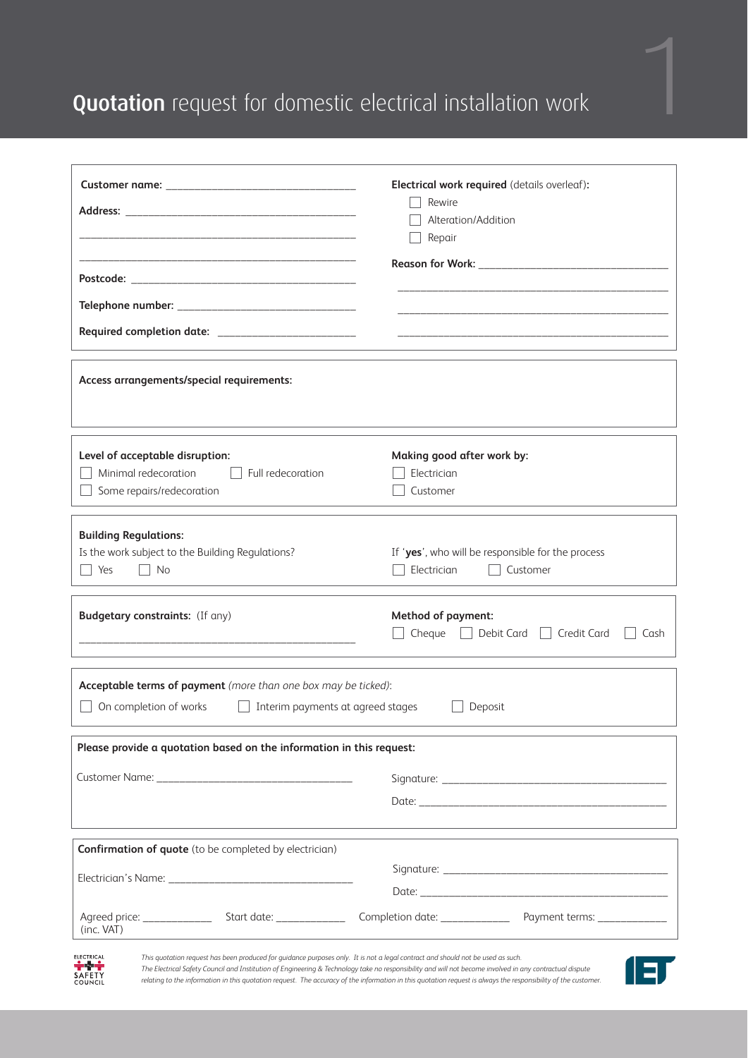### Quotation request for domestic electrical installation work

|                                                                                                                                                                                  | Electrical work required (details overleaf):<br>Rewire<br>Alteration/Addition<br>Repair                                                                                                                                                                                                                                    |  |  |
|----------------------------------------------------------------------------------------------------------------------------------------------------------------------------------|----------------------------------------------------------------------------------------------------------------------------------------------------------------------------------------------------------------------------------------------------------------------------------------------------------------------------|--|--|
|                                                                                                                                                                                  |                                                                                                                                                                                                                                                                                                                            |  |  |
|                                                                                                                                                                                  |                                                                                                                                                                                                                                                                                                                            |  |  |
|                                                                                                                                                                                  |                                                                                                                                                                                                                                                                                                                            |  |  |
|                                                                                                                                                                                  |                                                                                                                                                                                                                                                                                                                            |  |  |
| Access arrangements/special requirements:                                                                                                                                        |                                                                                                                                                                                                                                                                                                                            |  |  |
| Level of acceptable disruption:                                                                                                                                                  | Making good after work by:                                                                                                                                                                                                                                                                                                 |  |  |
| Minimal redecoration<br>Full redecoration                                                                                                                                        | Electrician                                                                                                                                                                                                                                                                                                                |  |  |
| Some repairs/redecoration                                                                                                                                                        | Customer                                                                                                                                                                                                                                                                                                                   |  |  |
| <b>Building Regulations:</b><br>Is the work subject to the Building Regulations?<br>l Yes<br>$\vert$ No                                                                          | If 'yes', who will be responsible for the process<br>Electrician<br>Customer                                                                                                                                                                                                                                               |  |  |
| <b>Budgetary constraints:</b> (If any)                                                                                                                                           | Method of payment:<br>Cheque Debit Card Credit Card<br>Cash                                                                                                                                                                                                                                                                |  |  |
| Acceptable terms of payment (more than one box may be ticked):<br>On completion of works<br>Interim payments at agreed stages                                                    | Deposit                                                                                                                                                                                                                                                                                                                    |  |  |
| Please provide a quotation based on the information in this request:                                                                                                             |                                                                                                                                                                                                                                                                                                                            |  |  |
|                                                                                                                                                                                  |                                                                                                                                                                                                                                                                                                                            |  |  |
|                                                                                                                                                                                  |                                                                                                                                                                                                                                                                                                                            |  |  |
| <b>Confirmation of quote</b> (to be completed by electrician)                                                                                                                    |                                                                                                                                                                                                                                                                                                                            |  |  |
|                                                                                                                                                                                  |                                                                                                                                                                                                                                                                                                                            |  |  |
|                                                                                                                                                                                  |                                                                                                                                                                                                                                                                                                                            |  |  |
| (inc. VAT)                                                                                                                                                                       |                                                                                                                                                                                                                                                                                                                            |  |  |
| <b>ELECTRICAL</b><br>This quotation request has been produced for guidance purposes only. It is not a legal contract and should not be used as such.<br>≑⊹÷<br>SAFETY<br>COUNCIL | The Electrical Safety Council and Institution of Engineering & Technology take no responsibility and will not become involved in any contractual dispute<br>relating to the information in this quotation request. The accuracy of the information in this quotation request is always the responsibility of the customer. |  |  |

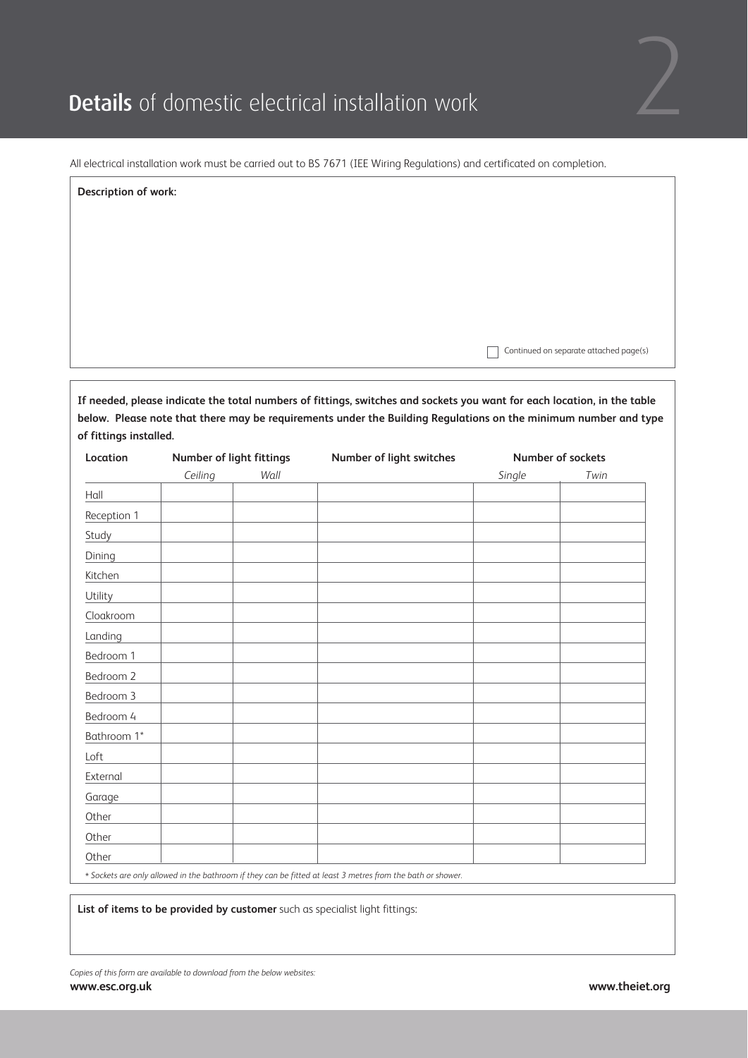

| Description of work: |                                                                                                                         |
|----------------------|-------------------------------------------------------------------------------------------------------------------------|
|                      |                                                                                                                         |
|                      |                                                                                                                         |
|                      |                                                                                                                         |
|                      |                                                                                                                         |
|                      |                                                                                                                         |
|                      | Continued on separate attached page(s)                                                                                  |
|                      | If needed, please indicate the total numbers of fittings, switches and sockets you want for each location, in the table |
|                      | below. Please note that there may be requirements under the Building Regulations on the minimum number and type         |

| Location    | Number of light fittings |      | Number of light switches | Number of sockets |      |
|-------------|--------------------------|------|--------------------------|-------------------|------|
|             | Ceiling                  | Wall |                          | Single            | Twin |
| Hall        |                          |      |                          |                   |      |
| Reception 1 |                          |      |                          |                   |      |
| Study       |                          |      |                          |                   |      |
| Dining      |                          |      |                          |                   |      |
| Kitchen     |                          |      |                          |                   |      |
| Utility     |                          |      |                          |                   |      |
| Cloakroom   |                          |      |                          |                   |      |
| Landing     |                          |      |                          |                   |      |
| Bedroom 1   |                          |      |                          |                   |      |
| Bedroom 2   |                          |      |                          |                   |      |
| Bedroom 3   |                          |      |                          |                   |      |
| Bedroom 4   |                          |      |                          |                   |      |
| Bathroom 1* |                          |      |                          |                   |      |
| $L$ oft     |                          |      |                          |                   |      |
| External    |                          |      |                          |                   |      |
| Garage      |                          |      |                          |                   |      |
| Other       |                          |      |                          |                   |      |
| Other       |                          |      |                          |                   |      |
| Other       |                          |      |                          |                   |      |

\* *Sockets are only allowed in the bathroom if they can be fitted at least 3 metres from the bath or shower.*

**List of items to be provided by customer** such as specialist light fittings:

**of fittings installed.**